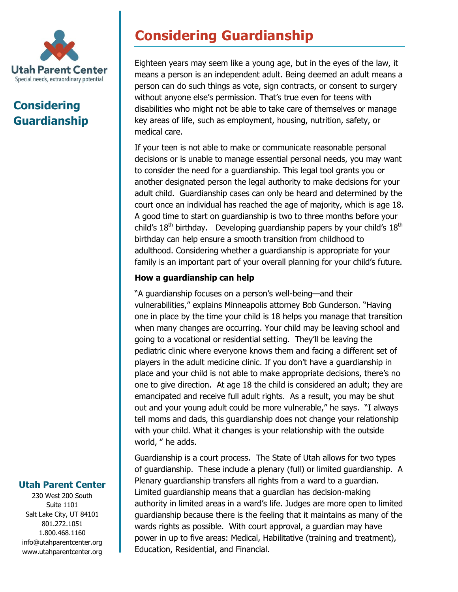

## **Considering Guardianship**

# **Considering Guardianship**

Eighteen years may seem like a young age, but in the eyes of the law, it means a person is an independent adult. Being deemed an adult means a person can do such things as vote, sign contracts, or consent to surgery without anyone else's permission. That's true even for teens with disabilities who might not be able to take care of themselves or manage key areas of life, such as employment, housing, nutrition, safety, or medical care.

If your teen is not able to make or communicate reasonable personal decisions or is unable to manage essential personal needs, you may want to consider the need for a guardianship. This legal tool grants you or another designated person the legal authority to make decisions for your adult child. Guardianship cases can only be heard and determined by the court once an individual has reached the age of majority, which is age 18. A good time to start on guardianship is two to three months before your child's  $18<sup>th</sup>$  birthday. Developing quardianship papers by your child's  $18<sup>th</sup>$ birthday can help ensure a smooth transition from childhood to adulthood. Considering whether a guardianship is appropriate for your family is an important part of your overall planning for your child's future.

### **How a guardianship can help**

"A guardianship focuses on a person's well-being—and their vulnerabilities," explains Minneapolis attorney Bob Gunderson. "Having one in place by the time your child is 18 helps you manage that transition when many changes are occurring. Your child may be leaving school and going to a vocational or residential setting. They'll be leaving the pediatric clinic where everyone knows them and facing a different set of players in the adult medicine clinic. If you don't have a guardianship in place and your child is not able to make appropriate decisions, there's no one to give direction. At age 18 the child is considered an adult; they are emancipated and receive full adult rights. As a result, you may be shut out and your young adult could be more vulnerable," he says. "I always tell moms and dads, this guardianship does not change your relationship with your child. What it changes is your relationship with the outside world, " he adds.

Guardianship is a court process. The State of Utah allows for two types of guardianship. These include a plenary (full) or limited guardianship. A Plenary guardianship transfers all rights from a ward to a guardian. Limited guardianship means that a guardian has decision-making authority in limited areas in a ward's life. Judges are more open to limited guardianship because there is the feeling that it maintains as many of the wards rights as possible. With court approval, a guardian may have power in up to five areas: Medical, Habilitative (training and treatment), Education, Residential, and Financial.

### **Utah Parent Center**

230 West 200 South Suite 1101 Salt Lake City, UT 84101 801.272.1051 1.800.468.1160 info@utahparentcenter.org www.utahparentcenter.org